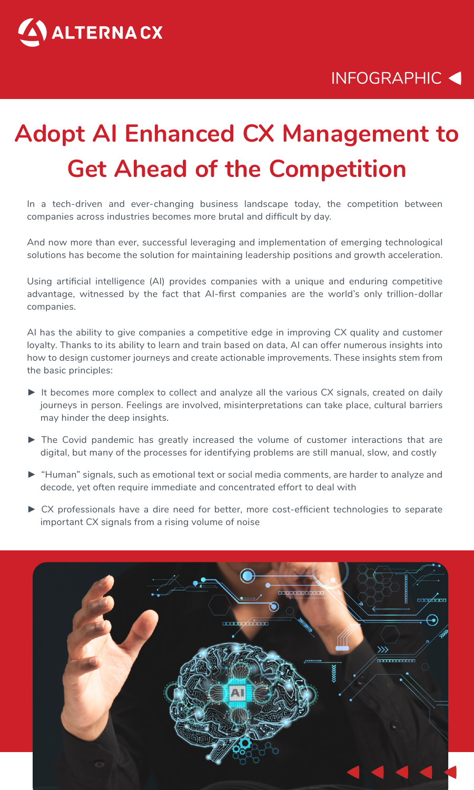

## INFOGRAPHIC

# **Adopt AI Enhanced CX Management to Get Ahead of the Competition**

In a tech-driven and ever-changing business landscape today, the competition between companies across industries becomes more brutal and difficult by day.

And now more than ever, successful leveraging and implementation of emerging technological solutions has become the solution for maintaining leadership positions and growth acceleration.

Using artificial intelligence (AI) provides companies with a unique and enduring competitive advantage, witnessed by the fact that AI-first companies are the world's only trillion-dollar companies.

AI has the ability to give companies a competitive edge in improving CX quality and customer loyalty. Thanks to its ability to learn and train based on data, AI can offer numerous insights into how to design customer journeys and create actionable improvements. These insights stem from the basic principles:

- ▶ It becomes more complex to collect and analyze all the various CX signals, created on daily journeys in person. Feelings are involved, misinterpretations can take place, cultural barriers may hinder the deep insights.
- ► The Covid pandemic has greatly increased the volume of customer interactions that are digital, but many of the processes for identifying problems are still manual, slow, and costly
- ► "Human" signals, such as emotional text or social media comments, are harder to analyze and decode, yet often require immediate and concentrated effort to deal with
- ► CX professionals have a dire need for better, more cost-efficient technologies to separate important CX signals from a rising volume of noise

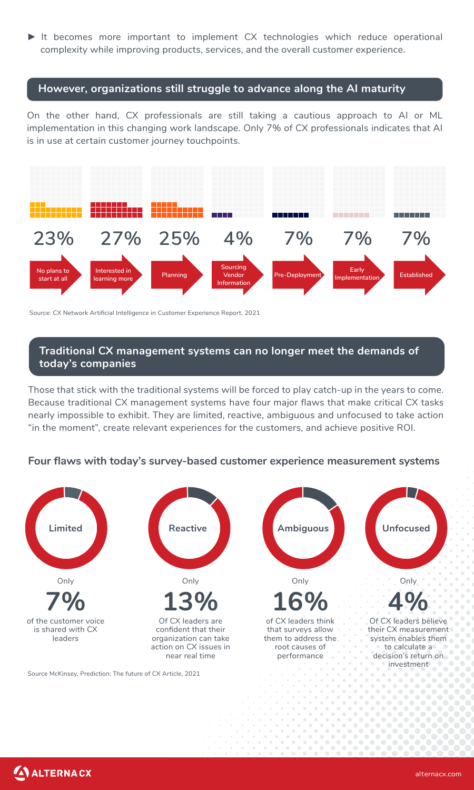► It becomes more important to implement CX technologies which reduce operational complexity while improving products, services, and the overall customer experience.

### **However, organizations still struggle to advance along the AI maturity**

On the other hand, CX professionals are still taking a cautious approach to AI or ML implementation in this changing work landscape. Only 7% of CX professionals indicates that AI is in use at certain customer journey touchpoints.



Source: CX Network Artificial Intelligence in Customer Experience Report, 2021

#### **Traditional CX management systems can no longer meet the demands of today's companies**

Those that stick with the traditional systems will be forced to play catch-up in the years to come. Because traditional CX management systems have four major flaws that make critical CX tasks nearly impossible to exhibit. They are limited, reactive, ambiguous and unfocused to take action "in the moment", create relevant experiences for the customers, and achieve positive ROI.

#### **Four flaws with today's survey-based customer experience measurement systems**



Source McKinsey, Prediction: The future of CX Article, 2021